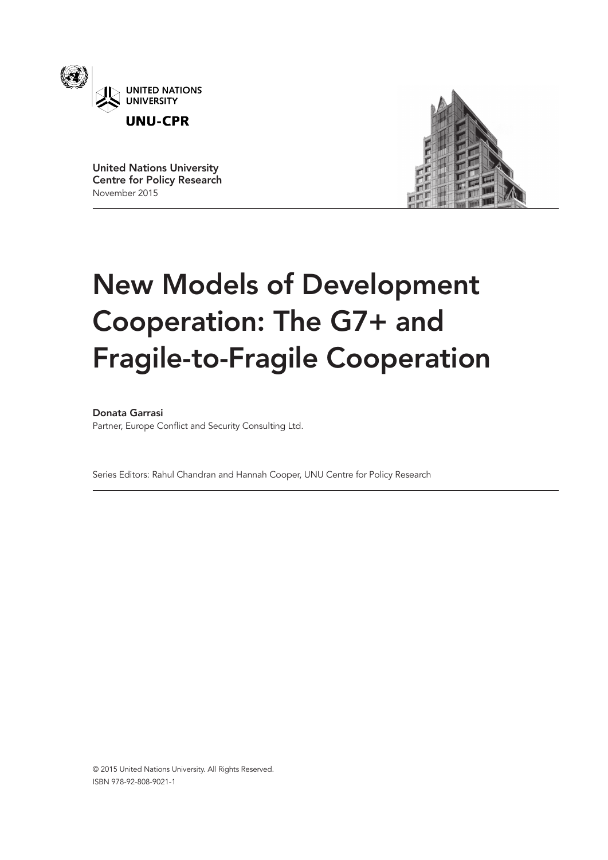

United Nations University Centre for Policy Research November 2015



# New Models of Development Cooperation: The G7+ and Fragile-to-Fragile Cooperation

Donata Garrasi

Partner, Europe Conflict and Security Consulting Ltd.

Series Editors: Rahul Chandran and Hannah Cooper, UNU Centre for Policy Research

© 2015 United Nations University. All Rights Reserved. ISBN 978-92-808-9021-1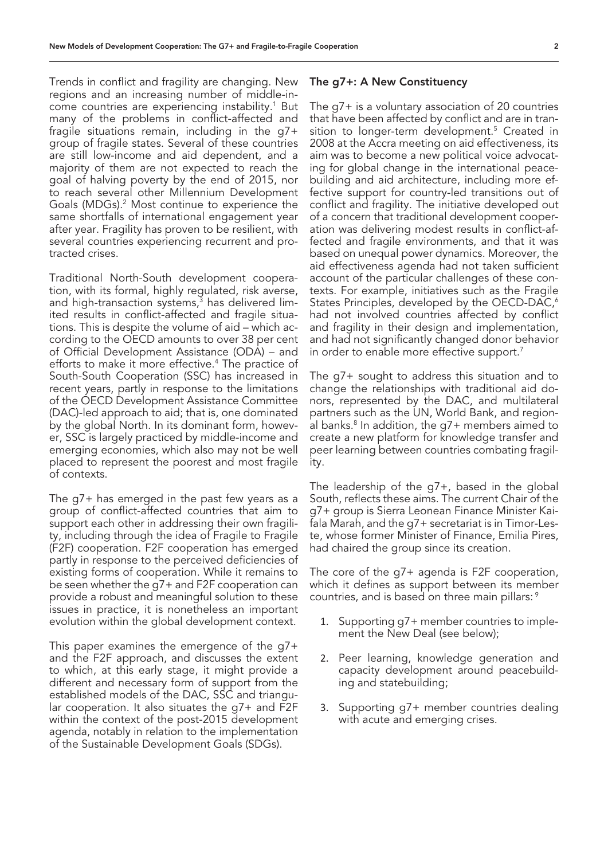Trends in conflict and fragility are changing. New regions and an increasing number of middle-income countries are experiencing instability.<sup>1</sup> But many of the problems in conflict-affected and fragile situations remain, including in the g7+ group of fragile states. Several of these countries are still low-income and aid dependent, and a majority of them are not expected to reach the goal of halving poverty by the end of 2015, nor to reach several other Millennium Development Goals (MDGs).<sup>2</sup> Most continue to experience the same shortfalls of international engagement year after year. Fragility has proven to be resilient, with several countries experiencing recurrent and protracted crises.

Traditional North-South development cooperation, with its formal, highly regulated, risk averse, and high-transaction systems,<sup>3</sup> has delivered limited results in conflict-affected and fragile situations. This is despite the volume of aid – which according to the OECD amounts to over 38 per cent of Official Development Assistance (ODA) – and efforts to make it more effective.4 The practice of South-South Cooperation (SSC) has increased in recent years, partly in response to the limitations of the OECD Development Assistance Committee (DAC)-led approach to aid; that is, one dominated by the global North. In its dominant form, however, SSC is largely practiced by middle-income and emerging economies, which also may not be well placed to represent the poorest and most fragile of contexts.

The g7+ has emerged in the past few years as a group of conflict-affected countries that aim to support each other in addressing their own fragility, including through the idea of Fragile to Fragile (F2F) cooperation. F2F cooperation has emerged partly in response to the perceived deficiencies of existing forms of cooperation. While it remains to be seen whether the g7+ and F2F cooperation can provide a robust and meaningful solution to these issues in practice, it is nonetheless an important evolution within the global development context.

This paper examines the emergence of the g7+ and the F2F approach, and discusses the extent to which, at this early stage, it might provide a different and necessary form of support from the established models of the DAC, SSC and triangular cooperation. It also situates the g7+ and F2F within the context of the post-2015 development agenda, notably in relation to the implementation of the Sustainable Development Goals (SDGs).

#### The g7+: A New Constituency

The g7+ is a voluntary association of 20 countries that have been affected by conflict and are in transition to longer-term development.<sup>5</sup> Created in 2008 at the Accra meeting on aid effectiveness, its aim was to become a new political voice advocating for global change in the international peacebuilding and aid architecture, including more effective support for country-led transitions out of conflict and fragility. The initiative developed out of a concern that traditional development cooperation was delivering modest results in conflict-affected and fragile environments, and that it was based on unequal power dynamics. Moreover, the aid effectiveness agenda had not taken sufficient account of the particular challenges of these contexts. For example, initiatives such as the Fragile States Principles, developed by the OECD-DAC,<sup>6</sup> had not involved countries affected by conflict and fragility in their design and implementation, and had not significantly changed donor behavior in order to enable more effective support.<sup>7</sup>

The g7+ sought to address this situation and to change the relationships with traditional aid donors, represented by the DAC, and multilateral partners such as the UN, World Bank, and regional banks.8 In addition, the g7+ members aimed to create a new platform for knowledge transfer and peer learning between countries combating fragility.

The leadership of the g7+, based in the global South, reflects these aims. The current Chair of the g7+ group is Sierra Leonean Finance Minister Kaifala Marah, and the g7+ secretariat is in Timor-Leste, whose former Minister of Finance, Emilia Pires, had chaired the group since its creation.

The core of the g7+ agenda is F2F cooperation, which it defines as support between its member countries, and is based on three main pillars: 9

- 1. Supporting g7+ member countries to implement the New Deal (see below);
- 2. Peer learning, knowledge generation and capacity development around peacebuilding and statebuilding;
- 3. Supporting g7+ member countries dealing with acute and emerging crises.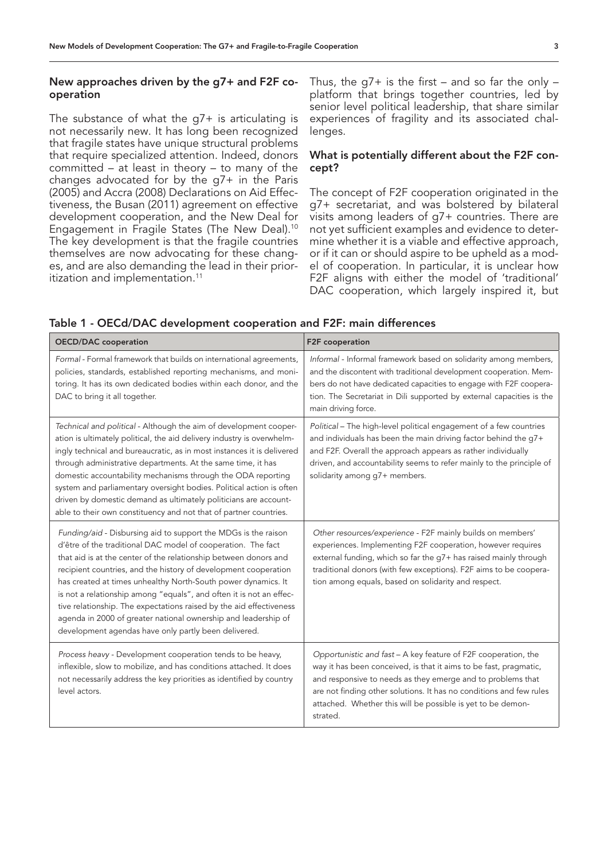## New approaches driven by the g7+ and F2F cooperation

The substance of what the  $q7+$  is articulating is not necessarily new. It has long been recognized that fragile states have unique structural problems that require specialized attention. Indeed, donors committed – at least in theory – to many of the changes advocated for by the g7+ in the Paris (2005) and Accra (2008) Declarations on Aid Effectiveness, the Busan (2011) agreement on effective development cooperation, and the New Deal for Engagement in Fragile States (The New Deal).10 The key development is that the fragile countries themselves are now advocating for these changes, and are also demanding the lead in their prioritization and implementation.<sup>11</sup>

Thus, the  $q7+$  is the first – and so far the only – platform that brings together countries, led by senior level political leadership, that share similar experiences of fragility and its associated challenges.

## What is potentially different about the F2F concept?

The concept of F2F cooperation originated in the g7+ secretariat, and was bolstered by bilateral visits among leaders of g7+ countries. There are not yet sufficient examples and evidence to determine whether it is a viable and effective approach, or if it can or should aspire to be upheld as a model of cooperation. In particular, it is unclear how F2F aligns with either the model of 'traditional' DAC cooperation, which largely inspired it, but

| <b>OECD/DAC</b> cooperation                                                                                                                                                                                                                                                                                                                                                                                                                                                                                                                                                                                    | F2F cooperation                                                                                                                                                                                                                                                                                                                                      |
|----------------------------------------------------------------------------------------------------------------------------------------------------------------------------------------------------------------------------------------------------------------------------------------------------------------------------------------------------------------------------------------------------------------------------------------------------------------------------------------------------------------------------------------------------------------------------------------------------------------|------------------------------------------------------------------------------------------------------------------------------------------------------------------------------------------------------------------------------------------------------------------------------------------------------------------------------------------------------|
| Formal - Formal framework that builds on international agreements,<br>policies, standards, established reporting mechanisms, and moni-<br>toring. It has its own dedicated bodies within each donor, and the<br>DAC to bring it all together.                                                                                                                                                                                                                                                                                                                                                                  | Informal - Informal framework based on solidarity among members,<br>and the discontent with traditional development cooperation. Mem-<br>bers do not have dedicated capacities to engage with F2F coopera-<br>tion. The Secretariat in Dili supported by external capacities is the<br>main driving force.                                           |
| Technical and political - Although the aim of development cooper-<br>ation is ultimately political, the aid delivery industry is overwhelm-<br>ingly technical and bureaucratic, as in most instances it is delivered<br>through administrative departments. At the same time, it has<br>domestic accountability mechanisms through the ODA reporting<br>system and parliamentary oversight bodies. Political action is often<br>driven by domestic demand as ultimately politicians are account-<br>able to their own constituency and not that of partner countries.                                         | Political - The high-level political engagement of a few countries<br>and individuals has been the main driving factor behind the g7+<br>and F2F. Overall the approach appears as rather individually<br>driven, and accountability seems to refer mainly to the principle of<br>solidarity among g7+ members.                                       |
| Funding/aid - Disbursing aid to support the MDGs is the raison<br>d'être of the traditional DAC model of cooperation. The fact<br>that aid is at the center of the relationship between donors and<br>recipient countries, and the history of development cooperation<br>has created at times unhealthy North-South power dynamics. It<br>is not a relationship among "equals", and often it is not an effec-<br>tive relationship. The expectations raised by the aid effectiveness<br>agenda in 2000 of greater national ownership and leadership of<br>development agendas have only partly been delivered. | Other resources/experience - F2F mainly builds on members'<br>experiences. Implementing F2F cooperation, however requires<br>external funding, which so far the g7+ has raised mainly through<br>traditional donors (with few exceptions). F2F aims to be coopera-<br>tion among equals, based on solidarity and respect.                            |
| Process heavy - Development cooperation tends to be heavy,<br>inflexible, slow to mobilize, and has conditions attached. It does<br>not necessarily address the key priorities as identified by country<br>level actors.                                                                                                                                                                                                                                                                                                                                                                                       | Opportunistic and fast - A key feature of F2F cooperation, the<br>way it has been conceived, is that it aims to be fast, pragmatic,<br>and responsive to needs as they emerge and to problems that<br>are not finding other solutions. It has no conditions and few rules<br>attached. Whether this will be possible is yet to be demon-<br>strated. |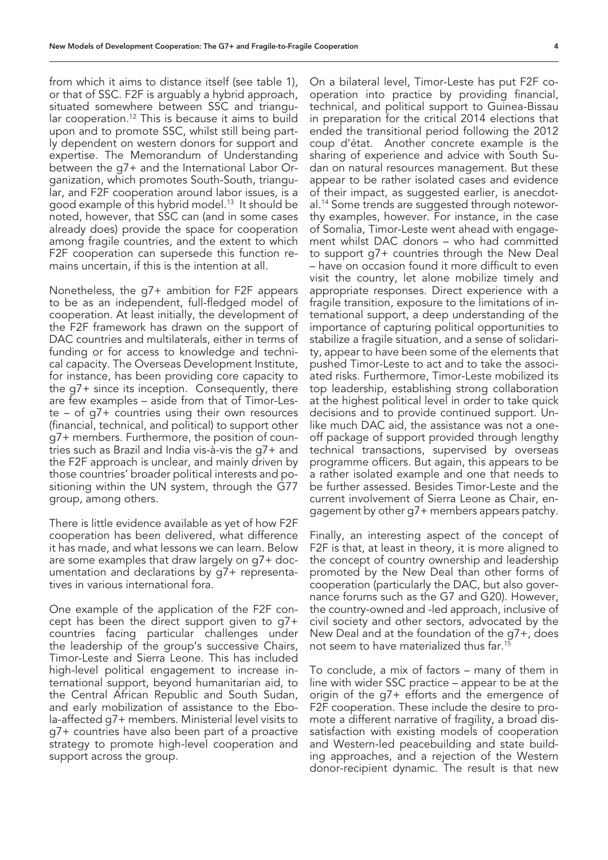from which it aims to distance itself (see table 1), or that of SSC. F2F is arguably a hybrid approach, situated somewhere between SSC and triangular cooperation.12 This is because it aims to build upon and to promote SSC, whilst still being partly dependent on western donors for support and expertise. The Memorandum of Understanding between the g7+ and the International Labor Organization, which promotes South-South, triangular, and F2F cooperation around labor issues, is a good example of this hybrid model.<sup>13</sup> It should be noted, however, that SSC can (and in some cases already does) provide the space for cooperation among fragile countries, and the extent to which F2F cooperation can supersede this function remains uncertain, if this is the intention at all.

Nonetheless, the g7+ ambition for F2F appears to be as an independent, full-fledged model of cooperation. At least initially, the development of the F2F framework has drawn on the support of DAC countries and multilaterals, either in terms of funding or for access to knowledge and technical capacity. The Overseas Development Institute, for instance, has been providing core capacity to the g7+ since its inception. Consequently, there are few examples – aside from that of Timor-Leste – of g7+ countries using their own resources (financial, technical, and political) to support other g7+ members. Furthermore, the position of countries such as Brazil and India vis-à-vis the g7+ and the F2F approach is unclear, and mainly driven by those countries' broader political interests and positioning within the UN system, through the G77 group, among others.

There is little evidence available as yet of how F2F cooperation has been delivered, what difference it has made, and what lessons we can learn. Below are some examples that draw largely on g7+ documentation and declarations by g7+ representatives in various international fora.

One example of the application of the F2F concept has been the direct support given to g7+ countries facing particular challenges under the leadership of the group's successive Chairs, Timor-Leste and Sierra Leone. This has included high-level political engagement to increase international support, beyond humanitarian aid, to the Central African Republic and South Sudan, and early mobilization of assistance to the Ebola-affected g7+ members. Ministerial level visits to g7+ countries have also been part of a proactive strategy to promote high-level cooperation and support across the group.

On a bilateral level, Timor-Leste has put F2F cooperation into practice by providing financial, technical, and political support to Guinea-Bissau in preparation for the critical 2014 elections that ended the transitional period following the 2012 coup d'état. Another concrete example is the sharing of experience and advice with South Sudan on natural resources management. But these appear to be rather isolated cases and evidence of their impact, as suggested earlier, is anecdotal.14 Some trends are suggested through noteworthy examples, however. For instance, in the case of Somalia, Timor-Leste went ahead with engagement whilst DAC donors – who had committed to support g7+ countries through the New Deal – have on occasion found it more difficult to even visit the country, let alone mobilize timely and appropriate responses. Direct experience with a fragile transition, exposure to the limitations of international support, a deep understanding of the importance of capturing political opportunities to stabilize a fragile situation, and a sense of solidarity, appear to have been some of the elements that pushed Timor-Leste to act and to take the associated risks. Furthermore, Timor-Leste mobilized its top leadership, establishing strong collaboration at the highest political level in order to take quick decisions and to provide continued support. Unlike much DAC aid, the assistance was not a oneoff package of support provided through lengthy technical transactions, supervised by overseas programme officers. But again, this appears to be a rather isolated example and one that needs to be further assessed. Besides Timor-Leste and the current involvement of Sierra Leone as Chair, engagement by other g7+ members appears patchy.

Finally, an interesting aspect of the concept of F2F is that, at least in theory, it is more aligned to the concept of country ownership and leadership promoted by the New Deal than other forms of cooperation (particularly the DAC, but also governance forums such as the G7 and G20). However, the country-owned and -led approach, inclusive of civil society and other sectors, advocated by the New Deal and at the foundation of the g7+, does not seem to have materialized thus far.<sup>15</sup>

To conclude, a mix of factors – many of them in line with wider SSC practice – appear to be at the origin of the g7+ efforts and the emergence of F2F cooperation. These include the desire to promote a different narrative of fragility, a broad dissatisfaction with existing models of cooperation and Western-led peacebuilding and state building approaches, and a rejection of the Western donor-recipient dynamic. The result is that new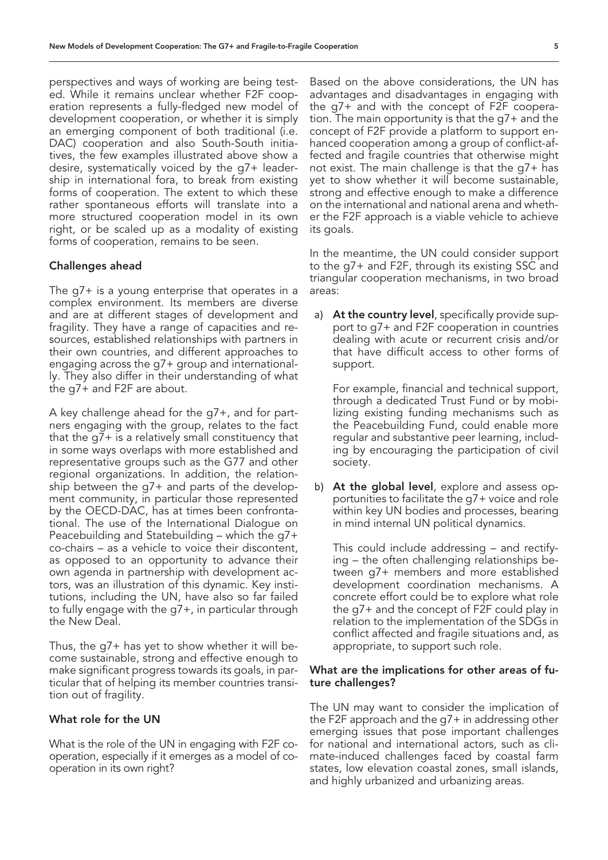perspectives and ways of working are being tested. While it remains unclear whether F2F cooperation represents a fully-fledged new model of development cooperation, or whether it is simply an emerging component of both traditional (i.e. DAC) cooperation and also South-South initiatives, the few examples illustrated above show a desire, systematically voiced by the g7+ leadership in international fora, to break from existing forms of cooperation. The extent to which these rather spontaneous efforts will translate into a more structured cooperation model in its own right, or be scaled up as a modality of existing forms of cooperation, remains to be seen.

### Challenges ahead

The g7+ is a young enterprise that operates in a complex environment. Its members are diverse and are at different stages of development and fragility. They have a range of capacities and resources, established relationships with partners in their own countries, and different approaches to engaging across the g7+ group and internationally. They also differ in their understanding of what the g7+ and F2F are about.

A key challenge ahead for the g7+, and for partners engaging with the group, relates to the fact that the g7+ is a relatively small constituency that in some ways overlaps with more established and representative groups such as the G77 and other regional organizations. In addition, the relationship between the g7+ and parts of the development community, in particular those represented by the OECD-DAC, has at times been confrontational. The use of the International Dialogue on Peacebuilding and Statebuilding – which the g7+ co-chairs – as a vehicle to voice their discontent, as opposed to an opportunity to advance their own agenda in partnership with development actors, was an illustration of this dynamic. Key institutions, including the UN, have also so far failed to fully engage with the g7+, in particular through the New Deal.

Thus, the g7+ has yet to show whether it will become sustainable, strong and effective enough to make significant progress towards its goals, in particular that of helping its member countries transition out of fragility.

## What role for the UN

What is the role of the UN in engaging with F2F cooperation, especially if it emerges as a model of cooperation in its own right?

Based on the above considerations, the UN has advantages and disadvantages in engaging with the g7+ and with the concept of F2F cooperation. The main opportunity is that the g7+ and the concept of F2F provide a platform to support enhanced cooperation among a group of conflict-affected and fragile countries that otherwise might not exist. The main challenge is that the g7+ has yet to show whether it will become sustainable, strong and effective enough to make a difference on the international and national arena and whether the F2F approach is a viable vehicle to achieve its goals.

In the meantime, the UN could consider support to the g7+ and F2F, through its existing SSC and triangular cooperation mechanisms, in two broad areas:

a) At the country level, specifically provide support to g7+ and F2F cooperation in countries dealing with acute or recurrent crisis and/or that have difficult access to other forms of support.

For example, financial and technical support, through a dedicated Trust Fund or by mobilizing existing funding mechanisms such as the Peacebuilding Fund, could enable more regular and substantive peer learning, including by encouraging the participation of civil society.

b) At the global level, explore and assess opportunities to facilitate the g7+ voice and role within key UN bodies and processes, bearing in mind internal UN political dynamics.

This could include addressing – and rectifying – the often challenging relationships between g7+ members and more established development coordination mechanisms. A concrete effort could be to explore what role the g7+ and the concept of F2F could play in relation to the implementation of the SDGs in conflict affected and fragile situations and, as appropriate, to support such role.

#### What are the implications for other areas of future challenges?

The UN may want to consider the implication of the F2F approach and the g7+ in addressing other emerging issues that pose important challenges for national and international actors, such as climate-induced challenges faced by coastal farm states, low elevation coastal zones, small islands, and highly urbanized and urbanizing areas.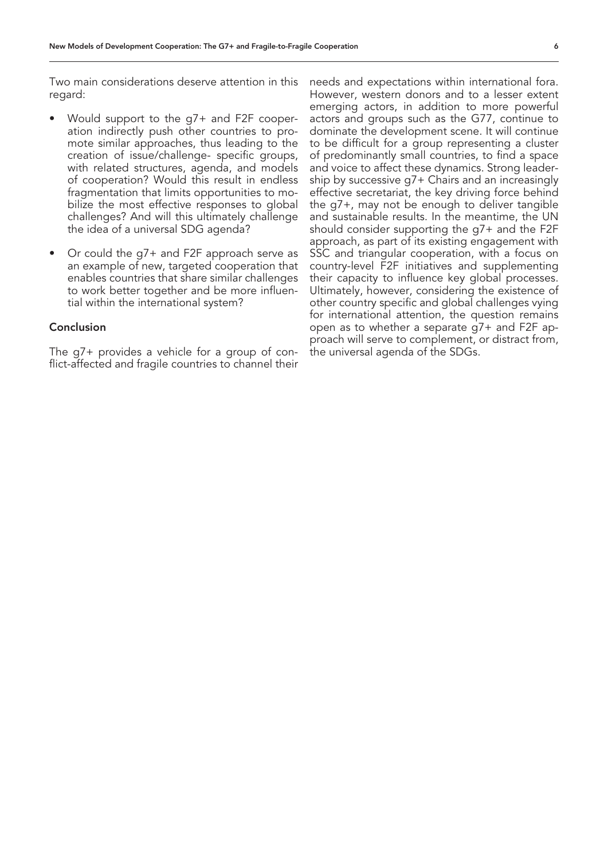Two main considerations deserve attention in this regard:

- Would support to the g7+ and F2F cooperation indirectly push other countries to promote similar approaches, thus leading to the creation of issue/challenge- specific groups, with related structures, agenda, and models of cooperation? Would this result in endless fragmentation that limits opportunities to mobilize the most effective responses to global challenges? And will this ultimately challenge the idea of a universal SDG agenda?
- Or could the g7+ and F2F approach serve as an example of new, targeted cooperation that enables countries that share similar challenges to work better together and be more influential within the international system?

## Conclusion

The g7+ provides a vehicle for a group of conflict-affected and fragile countries to channel their needs and expectations within international fora. However, western donors and to a lesser extent emerging actors, in addition to more powerful actors and groups such as the G77, continue to dominate the development scene. It will continue to be difficult for a group representing a cluster of predominantly small countries, to find a space and voice to affect these dynamics. Strong leadership by successive g7+ Chairs and an increasingly effective secretariat, the key driving force behind the g7+, may not be enough to deliver tangible and sustainable results. In the meantime, the UN should consider supporting the g7+ and the F2F approach, as part of its existing engagement with SSC and triangular cooperation, with a focus on country-level F2F initiatives and supplementing their capacity to influence key global processes. Ultimately, however, considering the existence of other country specific and global challenges vying for international attention, the question remains open as to whether a separate g7+ and F2F approach will serve to complement, or distract from, the universal agenda of the SDGs.